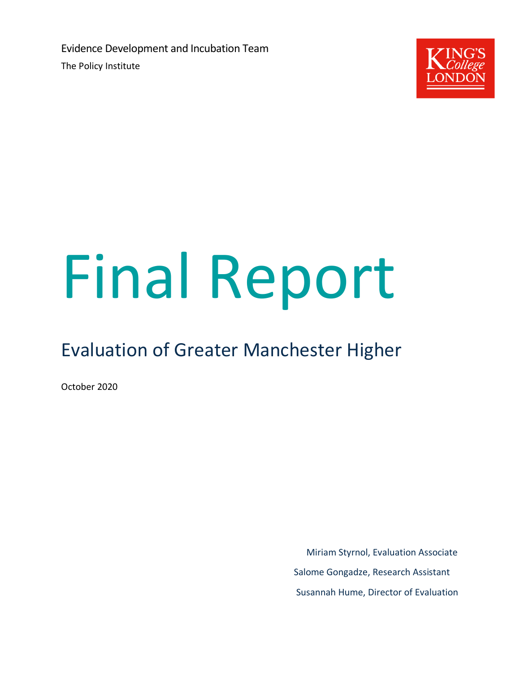Evidence Development and Incubation Team The Policy Institute



# Final Report

# Evaluation of Greater Manchester Higher

October 2020

Miriam Styrnol, Evaluation Associate Salome Gongadze, Research Assistant Susannah Hume, Director of Evaluation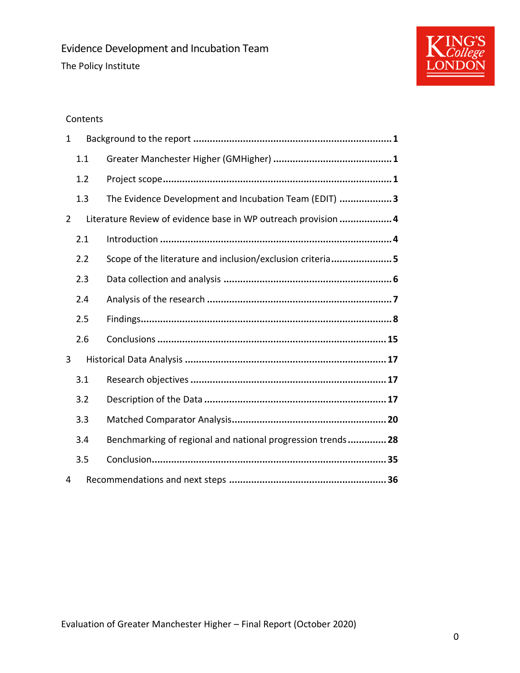

# Contents

| 1 |     |                                                               |  |  |  |
|---|-----|---------------------------------------------------------------|--|--|--|
|   | 1.1 |                                                               |  |  |  |
|   | 1.2 |                                                               |  |  |  |
|   | 1.3 | The Evidence Development and Incubation Team (EDIT) 3         |  |  |  |
| 2 |     | Literature Review of evidence base in WP outreach provision 4 |  |  |  |
|   | 2.1 |                                                               |  |  |  |
|   | 2.2 | Scope of the literature and inclusion/exclusion criteria5     |  |  |  |
|   | 2.3 |                                                               |  |  |  |
|   | 2.4 |                                                               |  |  |  |
|   | 2.5 |                                                               |  |  |  |
|   | 2.6 |                                                               |  |  |  |
| 3 |     |                                                               |  |  |  |
|   | 3.1 |                                                               |  |  |  |
|   | 3.2 |                                                               |  |  |  |
|   | 3.3 |                                                               |  |  |  |
|   | 3.4 | Benchmarking of regional and national progression trends 28   |  |  |  |
|   | 3.5 |                                                               |  |  |  |
| 4 |     |                                                               |  |  |  |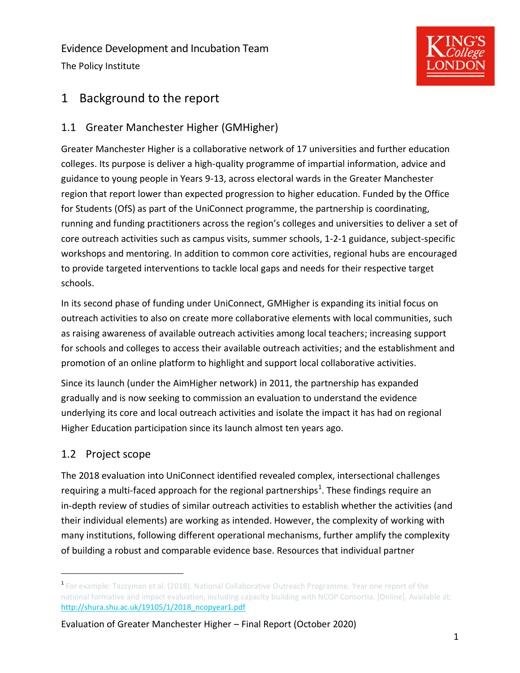Evidence Development and Incubation Team The Policy Institute



# <span id="page-2-0"></span>1 Background to the report

# <span id="page-2-1"></span>1.1 Greater Manchester Higher (GMHigher)

Greater Manchester Higher is a collaborative network of 17 universities and further education colleges. Its purpose is deliver a high-quality programme of impartial information, advice and guidance to young people in Years 9-13, across electoral wards in the Greater Manchester region that report lower than expected progression to higher education. Funded by the Office for Students (OfS) as part of the UniConnect programme, the partnership is coordinating, running and funding practitioners across the region's colleges and universities to deliver a set of core outreach activities such as campus visits, summer schools, 1-2-1 guidance, subject-specific workshops and mentoring. In addition to common core activities, regional hubs are encouraged to provide targeted interventions to tackle local gaps and needs for their respective target schools.

In its second phase of funding under UniConnect, GMHigher is expanding its initial focus on outreach activities to also on create more collaborative elements with local communities, such as raising awareness of available outreach activities among local teachers; increasing support for schools and colleges to access their available outreach activities; and the establishment and promotion of an online platform to highlight and support local collaborative activities.

Since its launch (under the AimHigher network) in 2011, the partnership has expanded gradually and is now seeking to commission an evaluation to understand the evidence underlying its core and local outreach activities and isolate the impact it has had on regional Higher Education participation since its launch almost ten years ago.

# <span id="page-2-2"></span>1.2 Project scope

The 2018 evaluation into UniConnect identified revealed complex, intersectional challenges requiring a multi-faced approach for the regional partnerships<sup>1</sup>. These findings require an in-depth review of studies of similar outreach activities to establish whether the activities (and their individual elements) are working as intended. However, the complexity of working with many institutions, following different operational mechanisms, further amplify the complexity of building a robust and comparable evidence base. Resources that individual partner

<sup>1</sup> For example: Tazzyman et al. (2018). National Collaborative Outreach Programme. Year one report of the national formative and impact evaluation, including capacity building with NCOP Consortia. [Online]. Available at: [http://shura.shu.ac.uk/19105/1/2018\\_ncopyear1.pdf](http://shura.shu.ac.uk/19105/1/2018_ncopyear1.pdf)

Evaluation of Greater Manchester Higher – Final Report (October 2020)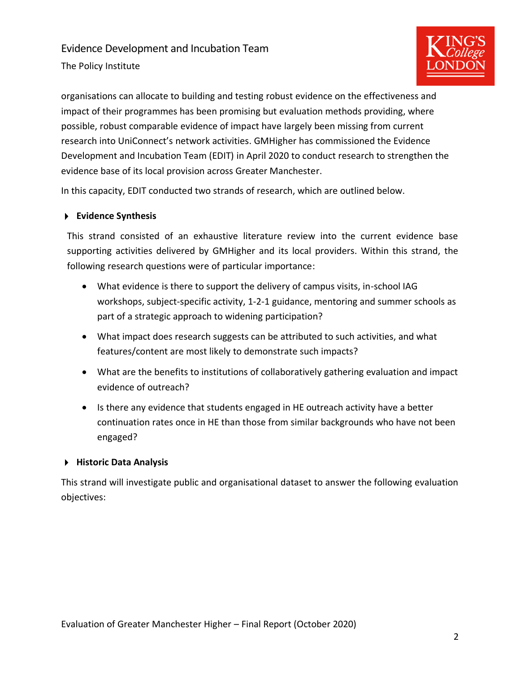The Policy Institute



organisations can allocate to building and testing robust evidence on the effectiveness and impact of their programmes has been promising but evaluation methods providing, where possible, robust comparable evidence of impact have largely been missing from current research into UniConnect's network activities. GMHigher has commissioned the Evidence Development and Incubation Team (EDIT) in April 2020 to conduct research to strengthen the evidence base of its local provision across Greater Manchester.

In this capacity, EDIT conducted two strands of research, which are outlined below.

#### **Evidence Synthesis**

This strand consisted of an exhaustive literature review into the current evidence base supporting activities delivered by GMHigher and its local providers. Within this strand, the following research questions were of particular importance:

- What evidence is there to support the delivery of campus visits, in-school IAG workshops, subject-specific activity, 1-2-1 guidance, mentoring and summer schools as part of a strategic approach to widening participation?
- What impact does research suggests can be attributed to such activities, and what features/content are most likely to demonstrate such impacts?
- What are the benefits to institutions of collaboratively gathering evaluation and impact evidence of outreach?
- Is there any evidence that students engaged in HE outreach activity have a better continuation rates once in HE than those from similar backgrounds who have not been engaged?

#### **Historic Data Analysis**

This strand will investigate public and organisational dataset to answer the following evaluation objectives: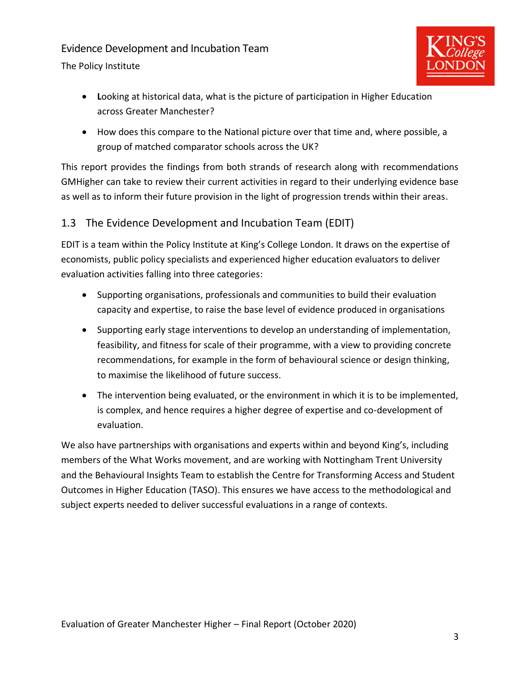The Policy Institute



- **L**ooking at historical data, what is the picture of participation in Higher Education across Greater Manchester?
- How does this compare to the National picture over that time and, where possible, a group of matched comparator schools across the UK?

This report provides the findings from both strands of research along with recommendations GMHigher can take to review their current activities in regard to their underlying evidence base as well as to inform their future provision in the light of progression trends within their areas.

# <span id="page-4-0"></span>1.3 The Evidence Development and Incubation Team (EDIT)

EDIT is a team within the Policy Institute at King's College London. It draws on the expertise of economists, public policy specialists and experienced higher education evaluators to deliver evaluation activities falling into three categories:

- Supporting organisations, professionals and communities to build their evaluation capacity and expertise, to raise the base level of evidence produced in organisations
- Supporting early stage interventions to develop an understanding of implementation, feasibility, and fitness for scale of their programme, with a view to providing concrete recommendations, for example in the form of behavioural science or design thinking, to maximise the likelihood of future success.
- The intervention being evaluated, or the environment in which it is to be implemented, is complex, and hence requires a higher degree of expertise and co-development of evaluation.

We also have partnerships with organisations and experts within and beyond King's, including members of the What Works movement, and are working with Nottingham Trent University and the Behavioural Insights Team to establish the Centre for Transforming Access and Student Outcomes in Higher Education (TASO). This ensures we have access to the methodological and subject experts needed to deliver successful evaluations in a range of contexts.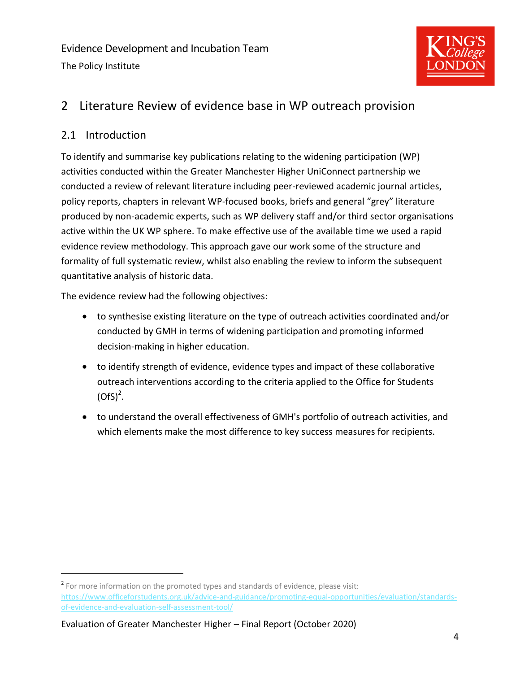

# <span id="page-5-0"></span>2 Literature Review of evidence base in WP outreach provision

# <span id="page-5-1"></span>2.1 Introduction

To identify and summarise key publications relating to the widening participation (WP) activities conducted within the Greater Manchester Higher UniConnect partnership we conducted a review of relevant literature including peer-reviewed academic journal articles, policy reports, chapters in relevant WP-focused books, briefs and general "grey" literature produced by non-academic experts, such as WP delivery staff and/or third sector organisations active within the UK WP sphere. To make effective use of the available time we used a rapid evidence review methodology. This approach gave our work some of the structure and formality of full systematic review, whilst also enabling the review to inform the subsequent quantitative analysis of historic data.

The evidence review had the following objectives:

- to synthesise existing literature on the type of outreach activities coordinated and/or conducted by GMH in terms of widening participation and promoting informed decision-making in higher education.
- to identify strength of evidence, evidence types and impact of these collaborative outreach interventions according to the criteria applied to the Office for Students  $(OfS)^2$ .
- to understand the overall effectiveness of GMH's portfolio of outreach activities, and which elements make the most difference to key success measures for recipients.

Evaluation of Greater Manchester Higher – Final Report (October 2020)

<sup>&</sup>lt;sup>2</sup> For more information on the promoted types and standards of evidence, please visit: [https://www.officeforstudents.org.uk/advice-and-guidance/promoting-equal-opportunities/evaluation/standards](https://www.officeforstudents.org.uk/advice-and-guidance/promoting-equal-opportunities/evaluation/standards-of-evidence-and-evaluation-self-assessment-tool/)[of-evidence-and-evaluation-self-assessment-tool/](https://www.officeforstudents.org.uk/advice-and-guidance/promoting-equal-opportunities/evaluation/standards-of-evidence-and-evaluation-self-assessment-tool/)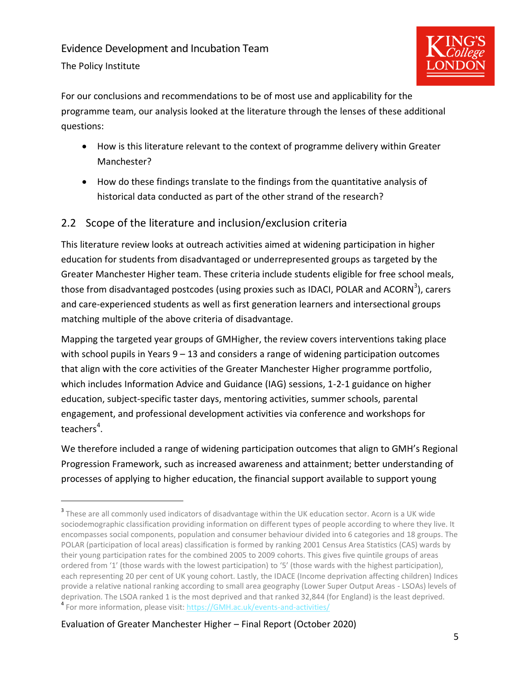The Policy Institute



For our conclusions and recommendations to be of most use and applicability for the programme team, our analysis looked at the literature through the lenses of these additional questions:

- How is this literature relevant to the context of programme delivery within Greater Manchester?
- How do these findings translate to the findings from the quantitative analysis of historical data conducted as part of the other strand of the research?

# <span id="page-6-0"></span>2.2 Scope of the literature and inclusion/exclusion criteria

This literature review looks at outreach activities aimed at widening participation in higher education for students from disadvantaged or underrepresented groups as targeted by the Greater Manchester Higher team. These criteria include students eligible for free school meals, those from disadvantaged postcodes (using proxies such as IDACI, POLAR and ACORN<sup>3</sup>), carers and care-experienced students as well as first generation learners and intersectional groups matching multiple of the above criteria of disadvantage.

Mapping the targeted year groups of GMHigher, the review covers interventions taking place with school pupils in Years  $9 - 13$  and considers a range of widening participation outcomes that align with the core activities of the Greater Manchester Higher programme portfolio, which includes Information Advice and Guidance (IAG) sessions, 1-2-1 guidance on higher education, subject-specific taster days, mentoring activities, summer schools, parental engagement, and professional development activities via conference and workshops for teachers<sup>4</sup>.

We therefore included a range of widening participation outcomes that align to GMH's Regional Progression Framework, such as increased awareness and attainment; better understanding of processes of applying to higher education, the financial support available to support young

<sup>&</sup>lt;sup>3</sup> These are all commonly used indicators of disadvantage within the UK education sector. Acorn is a UK wide sociodemographic classification providing information on different types of people according to where they live. It encompasses social components, population and consumer behaviour divided into 6 categories and 18 groups. The POLAR (participation of local areas) classification is formed by ranking 2001 Census Area Statistics (CAS) wards by their young participation rates for the combined 2005 to 2009 cohorts. This gives five quintile groups of areas ordered from '1' (those wards with the lowest participation) to '5' (those wards with the highest participation), each representing 20 per cent of UK young cohort. Lastly, the IDACE (Income deprivation affecting children) Indices provide a relative national ranking according to small area geography (Lower Super Output Areas - LSOAs) levels of deprivation. The LSOA ranked 1 is the most deprived and that ranked 32,844 (for England) is the least deprived. <sup>4</sup> For more information, please visit: [https://GMH.ac.uk/events-and-activities/](https://gmhigher.ac.uk/events-and-activities/)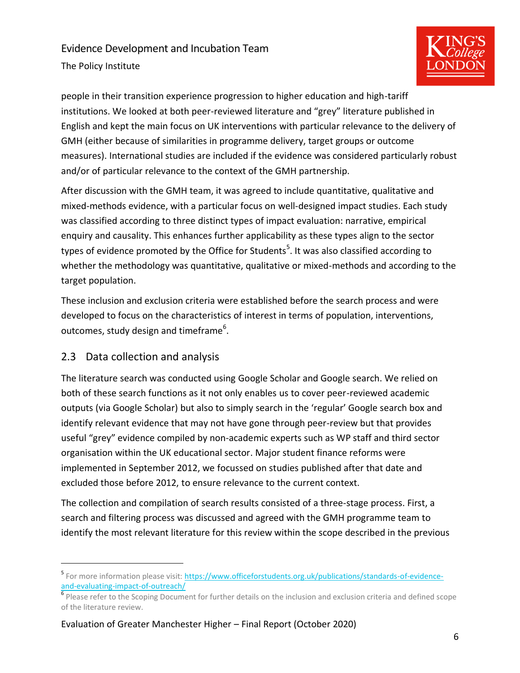The Policy Institute



people in their transition experience progression to higher education and high-tariff institutions. We looked at both peer-reviewed literature and "grey" literature published in English and kept the main focus on UK interventions with particular relevance to the delivery of GMH (either because of similarities in programme delivery, target groups or outcome measures). International studies are included if the evidence was considered particularly robust and/or of particular relevance to the context of the GMH partnership.

After discussion with the GMH team, it was agreed to include quantitative, qualitative and mixed-methods evidence, with a particular focus on well-designed impact studies. Each study was classified according to three distinct types of impact evaluation: narrative, empirical enquiry and causality. This enhances further applicability as these types align to the sector types of evidence promoted by the Office for Students<sup>5</sup>. It was also classified according to whether the methodology was quantitative, qualitative or mixed-methods and according to the target population.

These inclusion and exclusion criteria were established before the search process and were developed to focus on the characteristics of interest in terms of population, interventions, outcomes, study design and timeframe<sup>6</sup>.

# <span id="page-7-0"></span>2.3 Data collection and analysis

The literature search was conducted using Google Scholar and Google search. We relied on both of these search functions as it not only enables us to cover peer-reviewed academic outputs (via Google Scholar) but also to simply search in the 'regular' Google search box and identify relevant evidence that may not have gone through peer-review but that provides useful "grey" evidence compiled by non-academic experts such as WP staff and third sector organisation within the UK educational sector. Major student finance reforms were implemented in September 2012, we focussed on studies published after that date and excluded those before 2012, to ensure relevance to the current context.

The collection and compilation of search results consisted of a three-stage process. First, a search and filtering process was discussed and agreed with the GMH programme team to identify the most relevant literature for this review within the scope described in the previous

<sup>&</sup>lt;sup>5</sup> For more information please visit: [https://www.officeforstudents.org.uk/publications/standards-of-evidence](https://www.officeforstudents.org.uk/publications/standards-of-evidence-and-evaluating-impact-of-outreach/)[and-evaluating-impact-of-outreach/](https://www.officeforstudents.org.uk/publications/standards-of-evidence-and-evaluating-impact-of-outreach/)

<sup>&</sup>lt;sup>6</sup> Please refer to the Scoping Document for further details on the inclusion and exclusion criteria and defined scope of the literature review.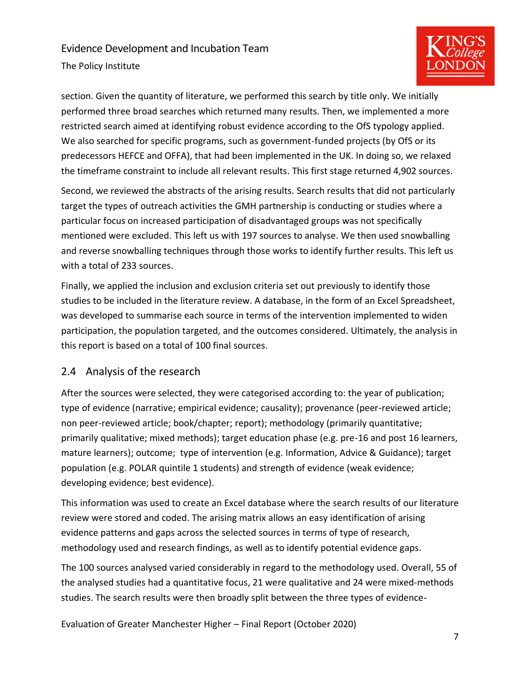The Policy Institute



section. Given the quantity of literature, we performed this search by title only. We initially performed three broad searches which returned many results. Then, we implemented a more restricted search aimed at identifying robust evidence according to the OfS typology applied. We also searched for specific programs, such as government-funded projects (by OfS or its predecessors HEFCE and OFFA), that had been implemented in the UK. In doing so, we relaxed the timeframe constraint to include all relevant results. This first stage returned 4,902 sources.

Second, we reviewed the abstracts of the arising results. Search results that did not particularly target the types of outreach activities the GMH partnership is conducting or studies where a particular focus on increased participation of disadvantaged groups was not specifically mentioned were excluded. This left us with 197 sources to analyse. We then used snowballing and reverse snowballing techniques through those works to identify further results. This left us with a total of 233 sources.

Finally, we applied the inclusion and exclusion criteria set out previously to identify those studies to be included in the literature review. A database, in the form of an Excel Spreadsheet, was developed to summarise each source in terms of the intervention implemented to widen participation, the population targeted, and the outcomes considered. Ultimately, the analysis in this report is based on a total of 100 final sources.

# <span id="page-8-0"></span>2.4 Analysis of the research

After the sources were selected, they were categorised according to: the year of publication; type of evidence (narrative; empirical evidence; causality); provenance (peer-reviewed article; non peer-reviewed article; book/chapter; report); methodology (primarily quantitative; primarily qualitative; mixed methods); target education phase (e.g. pre-16 and post 16 learners, mature learners); outcome; type of intervention (e.g. Information, Advice & Guidance); target population (e.g. POLAR quintile 1 students) and strength of evidence (weak evidence; developing evidence; best evidence).

This information was used to create an Excel database where the search results of our literature review were stored and coded. The arising matrix allows an easy identification of arising evidence patterns and gaps across the selected sources in terms of type of research, methodology used and research findings, as well as to identify potential evidence gaps.

The 100 sources analysed varied considerably in regard to the methodology used. Overall, 55 of the analysed studies had a quantitative focus, 21 were qualitative and 24 were mixed-methods studies. The search results were then broadly split between the three types of evidence-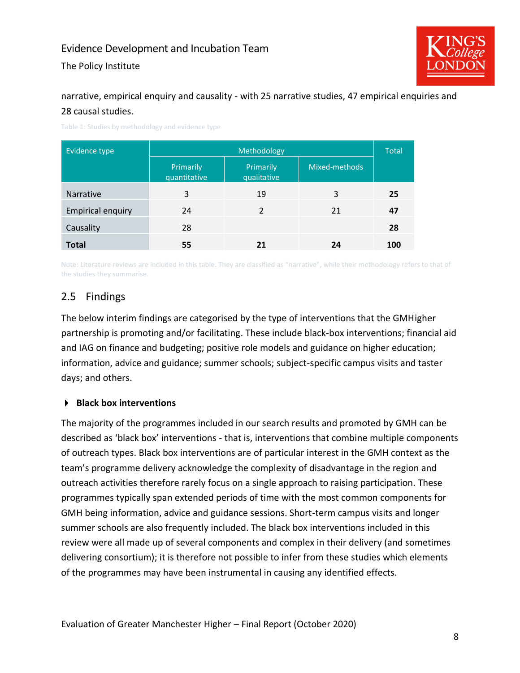The Policy Institute



narrative, empirical enquiry and causality - with 25 narrative studies, 47 empirical enquiries and 28 causal studies.

| Evidence type            | Methodology               |                          |               |     |
|--------------------------|---------------------------|--------------------------|---------------|-----|
|                          | Primarily<br>quantitative | Primarily<br>qualitative | Mixed-methods |     |
| <b>Narrative</b>         | 3                         | 19                       | 3             | 25  |
| <b>Empirical enquiry</b> | 24                        | $\mathcal{P}$            | 21            | 47  |
| Causality                | 28                        |                          |               | 28  |
| <b>Total</b>             | 55                        |                          | 24            | 100 |

Table 1: Studies by methodology and evidence type

Note: Literature reviews are included in this table. They are classified as "narrative", while their methodology refers to that of the studies they summarise.

#### <span id="page-9-0"></span>2.5 Findings

The below interim findings are categorised by the type of interventions that the GMHigher partnership is promoting and/or facilitating. These include black-box interventions; financial aid and IAG on finance and budgeting; positive role models and guidance on higher education; information, advice and guidance; summer schools; subject-specific campus visits and taster days; and others.

#### **Black box interventions**

The majority of the programmes included in our search results and promoted by GMH can be described as 'black box' interventions - that is, interventions that combine multiple components of outreach types. Black box interventions are of particular interest in the GMH context as the team's programme delivery acknowledge the complexity of disadvantage in the region and outreach activities therefore rarely focus on a single approach to raising participation. These programmes typically span extended periods of time with the most common components for GMH being information, advice and guidance sessions. Short-term campus visits and longer summer schools are also frequently included. The black box interventions included in this review were all made up of several components and complex in their delivery (and sometimes delivering consortium); it is therefore not possible to infer from these studies which elements of the programmes may have been instrumental in causing any identified effects.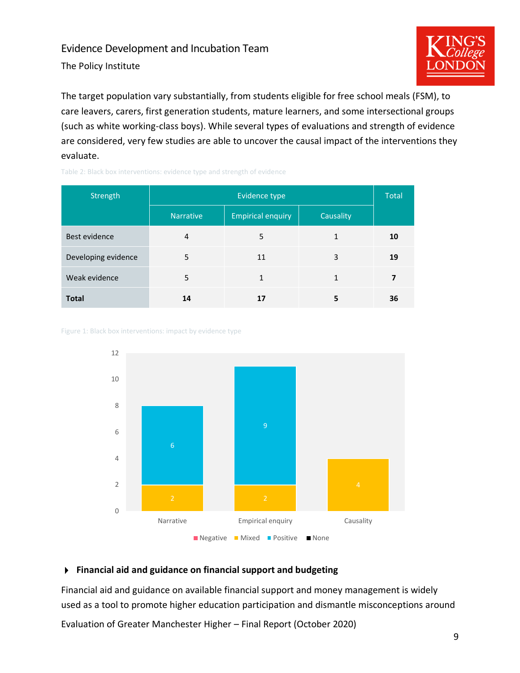The Policy Institute



The target population vary substantially, from students eligible for free school meals (FSM), to care leavers, carers, first generation students, mature learners, and some intersectional groups (such as white working-class boys). While several types of evaluations and strength of evidence are considered, very few studies are able to uncover the causal impact of the interventions they evaluate.

| Strength            | Evidence type    |                          |           |    |
|---------------------|------------------|--------------------------|-----------|----|
|                     | <b>Narrative</b> | <b>Empirical enquiry</b> | Causality |    |
| Best evidence       | 4                | 5                        | 1         | 10 |
| Developing evidence | 5                | 11                       | 3         | 19 |
| Weak evidence       | 5                | 1                        | 1         |    |
| <b>Total</b>        | 14               |                          | 5         | 36 |

Table 2: Black box interventions: evidence type and strength of evidence

Figure 1: Black box interventions: impact by evidence type



#### **Financial aid and guidance on financial support and budgeting**

Financial aid and guidance on available financial support and money management is widely used as a tool to promote higher education participation and dismantle misconceptions around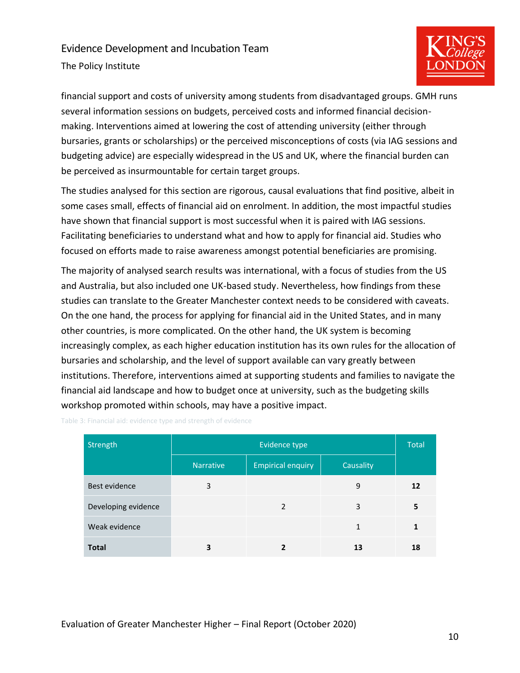The Policy Institute



financial support and costs of university among students from disadvantaged groups. GMH runs several information sessions on budgets, perceived costs and informed financial decisionmaking. Interventions aimed at lowering the cost of attending university (either through bursaries, grants or scholarships) or the perceived misconceptions of costs (via IAG sessions and budgeting advice) are especially widespread in the US and UK, where the financial burden can be perceived as insurmountable for certain target groups.

The studies analysed for this section are rigorous, causal evaluations that find positive, albeit in some cases small, effects of financial aid on enrolment. In addition, the most impactful studies have shown that financial support is most successful when it is paired with IAG sessions. Facilitating beneficiaries to understand what and how to apply for financial aid. Studies who focused on efforts made to raise awareness amongst potential beneficiaries are promising.

The majority of analysed search results was international, with a focus of studies from the US and Australia, but also included one UK-based study. Nevertheless, how findings from these studies can translate to the Greater Manchester context needs to be considered with caveats. On the one hand, the process for applying for financial aid in the United States, and in many other countries, is more complicated. On the other hand, the UK system is becoming increasingly complex, as each higher education institution has its own rules for the allocation of bursaries and scholarship, and the level of support available can vary greatly between institutions. Therefore, interventions aimed at supporting students and families to navigate the financial aid landscape and how to budget once at university, such as the budgeting skills workshop promoted within schools, may have a positive impact.

| Strength            | Evidence type    |                          |           |    |
|---------------------|------------------|--------------------------|-----------|----|
|                     | <b>Narrative</b> | <b>Empirical enquiry</b> | Causality |    |
| Best evidence       | 3                |                          | 9         | 12 |
| Developing evidence |                  | 2                        | 3         | 5  |
| Weak evidence       |                  |                          | 1         |    |
| <b>Total</b>        | 3                | 2                        | 13        | 18 |

Table 3: Financial aid: evidence type and strength of evidence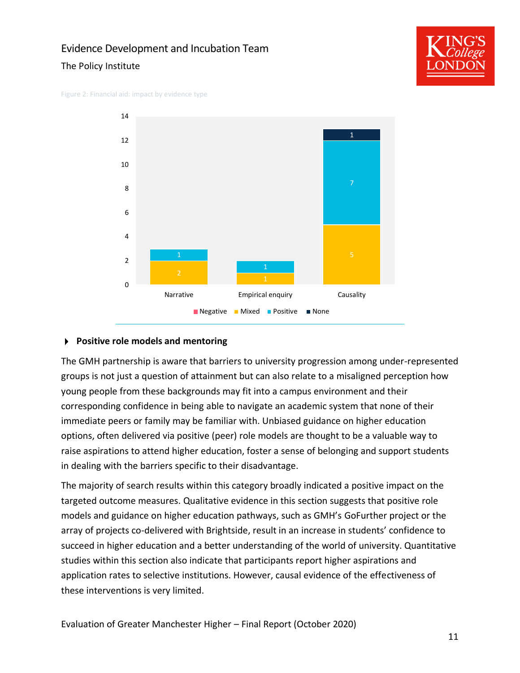#### The Policy Institute



Figure 2: Financial aid: impact by evidence type



#### **Positive role models and mentoring**

The GMH partnership is aware that barriers to university progression among under-represented groups is not just a question of attainment but can also relate to a misaligned perception how young people from these backgrounds may fit into a campus environment and their corresponding confidence in being able to navigate an academic system that none of their immediate peers or family may be familiar with. Unbiased guidance on higher education options, often delivered via positive (peer) role models are thought to be a valuable way to raise aspirations to attend higher education, foster a sense of belonging and support students in dealing with the barriers specific to their disadvantage.

The majority of search results within this category broadly indicated a positive impact on the targeted outcome measures. Qualitative evidence in this section suggests that positive role models and guidance on higher education pathways, such as GMH's GoFurther project or the array of projects co-delivered with Brightside, result in an increase in students' confidence to succeed in higher education and a better understanding of the world of university. Quantitative studies within this section also indicate that participants report higher aspirations and application rates to selective institutions. However, causal evidence of the effectiveness of these interventions is very limited.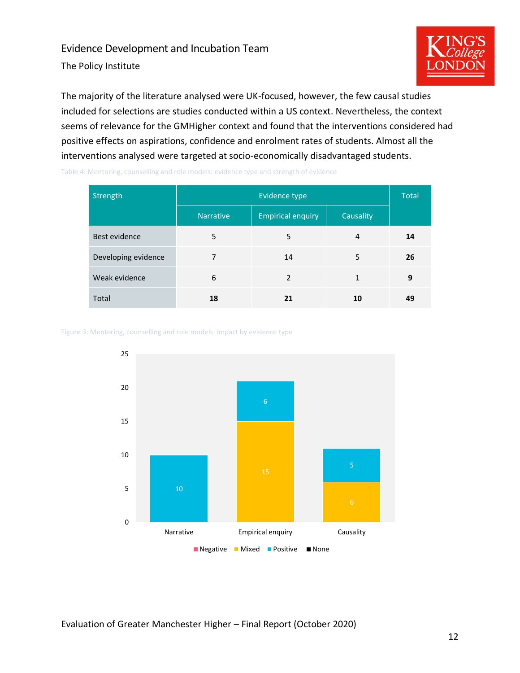The Policy Institute



The majority of the literature analysed were UK-focused, however, the few causal studies included for selections are studies conducted within a US context. Nevertheless, the context seems of relevance for the GMHigher context and found that the interventions considered had positive effects on aspirations, confidence and enrolment rates of students. Almost all the interventions analysed were targeted at socio-economically disadvantaged students.

Table 4: Mentoring, counselling and role models: evidence type and strength of evidence

| Strength            | Evidence type    |                          |              |    |
|---------------------|------------------|--------------------------|--------------|----|
|                     | <b>Narrative</b> | <b>Empirical enquiry</b> | Causality    |    |
| Best evidence       | 5                | 5                        | 4            | 14 |
| Developing evidence | 7                | 14                       | 5            | 26 |
| Weak evidence       | 6                | $\mathcal{P}$            | $\mathbf{1}$ | 9  |
| Total               | 18               | 21                       | 10           | 49 |

Figure 3: Mentoring, counselling and role models: impact by evidence type

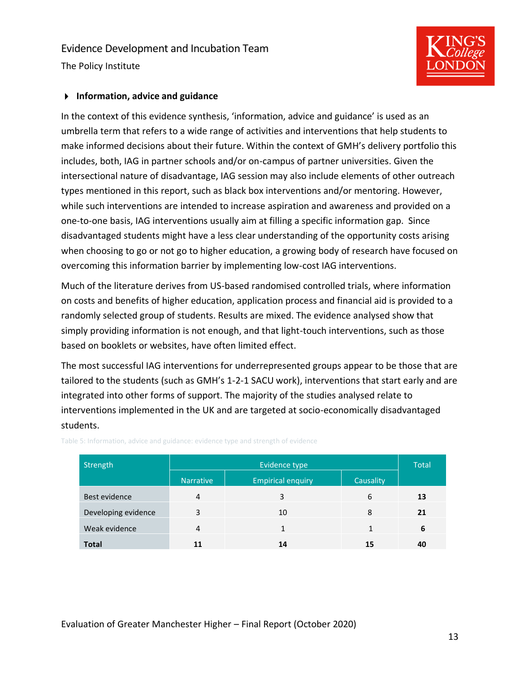The Policy Institute

#### **Information, advice and guidance**

In the context of this evidence synthesis, 'information, advice and guidance' is used as an umbrella term that refers to a wide range of activities and interventions that help students to make informed decisions about their future. Within the context of GMH's delivery portfolio this includes, both, IAG in partner schools and/or on-campus of partner universities. Given the intersectional nature of disadvantage, IAG session may also include elements of other outreach types mentioned in this report, such as black box interventions and/or mentoring. However, while such interventions are intended to increase aspiration and awareness and provided on a one-to-one basis, IAG interventions usually aim at filling a specific information gap. Since disadvantaged students might have a less clear understanding of the opportunity costs arising when choosing to go or not go to higher education, a growing body of research have focused on overcoming this information barrier by implementing low-cost IAG interventions.

Much of the literature derives from US-based randomised controlled trials, where information on costs and benefits of higher education, application process and financial aid is provided to a randomly selected group of students. Results are mixed. The evidence analysed show that simply providing information is not enough, and that light-touch interventions, such as those based on booklets or websites, have often limited effect.

The most successful IAG interventions for underrepresented groups appear to be those that are tailored to the students (such as GMH's 1-2-1 SACU work), interventions that start early and are integrated into other forms of support. The majority of the studies analysed relate to interventions implemented in the UK and are targeted at socio-economically disadvantaged students.

| Strength            |                  | <b>Total</b>             |           |    |
|---------------------|------------------|--------------------------|-----------|----|
|                     | <b>Narrative</b> | <b>Empirical enquiry</b> | Causality |    |
| Best evidence       | 4                | 3                        | 6         | 13 |
| Developing evidence | 3                | 10                       | 8         | 21 |
| Weak evidence       | 4                |                          |           | 6  |
| <b>Total</b>        | 11               | 14                       | 15        | 40 |

Table 5: Information, advice and guidance: evidence type and strength of evidence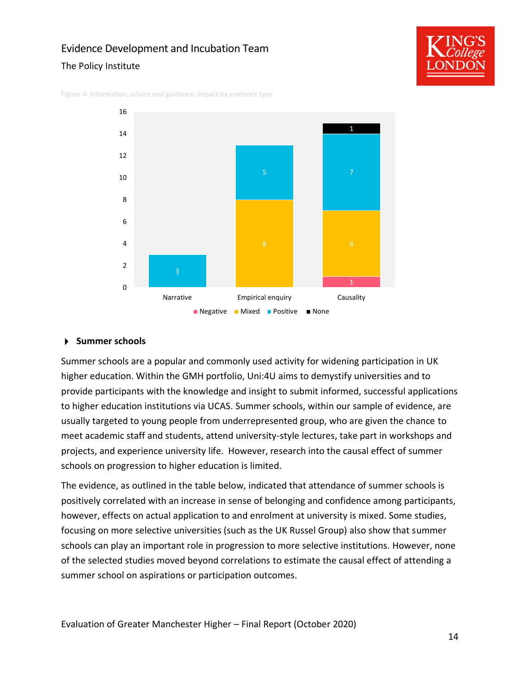#### The Policy Institute



Figure 4: Information, advice and guidance: impact by evidence type



#### **Summer schools**

Summer schools are a popular and commonly used activity for widening participation in UK higher education. Within the GMH portfolio, Uni:4U aims to demystify universities and to provide participants with the knowledge and insight to submit informed, successful applications to higher education institutions via UCAS. Summer schools, within our sample of evidence, are usually targeted to young people from underrepresented group, who are given the chance to meet academic staff and students, attend university-style lectures, take part in workshops and projects, and experience university life. However, research into the causal effect of summer schools on progression to higher education is limited.

The evidence, as outlined in the table below, indicated that attendance of summer schools is positively correlated with an increase in sense of belonging and confidence among participants, however, effects on actual application to and enrolment at university is mixed. Some studies, focusing on more selective universities (such as the UK Russel Group) also show that summer schools can play an important role in progression to more selective institutions. However, none of the selected studies moved beyond correlations to estimate the causal effect of attending a summer school on aspirations or participation outcomes.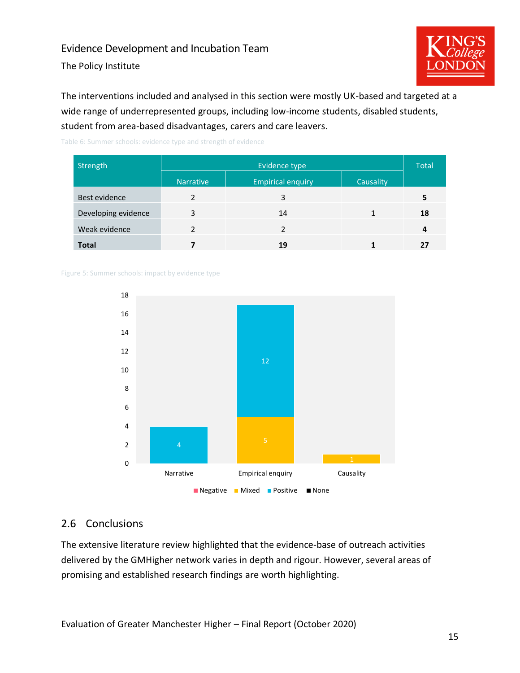The Policy Institute



The interventions included and analysed in this section were mostly UK-based and targeted at a wide range of underrepresented groups, including low-income students, disabled students, student from area-based disadvantages, carers and care leavers.

Table 6: Summer schools: evidence type and strength of evidence

| Strength            | Evidence type    |                          |           |    |
|---------------------|------------------|--------------------------|-----------|----|
|                     | <b>Narrative</b> | <b>Empirical enquiry</b> | Causality |    |
| Best evidence       | $\mathcal{P}$    | 3                        |           | 5  |
| Developing evidence | 3                | 14                       |           | 18 |
| Weak evidence       |                  |                          |           | 4  |
| <b>Total</b>        |                  | 19                       |           |    |

#### Figure 5: Summer schools: impact by evidence type



#### <span id="page-16-0"></span>2.6 Conclusions

The extensive literature review highlighted that the evidence-base of outreach activities delivered by the GMHigher network varies in depth and rigour. However, several areas of promising and established research findings are worth highlighting.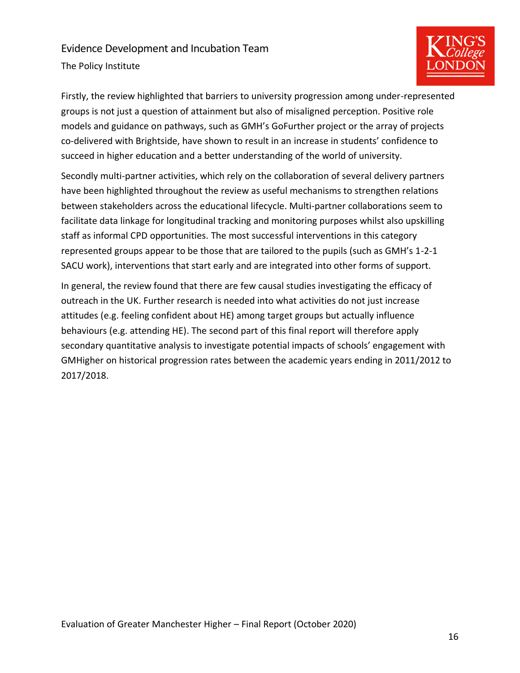The Policy Institute



Firstly, the review highlighted that barriers to university progression among under-represented groups is not just a question of attainment but also of misaligned perception. Positive role models and guidance on pathways, such as GMH's GoFurther project or the array of projects co-delivered with Brightside, have shown to result in an increase in students' confidence to succeed in higher education and a better understanding of the world of university.

Secondly multi-partner activities, which rely on the collaboration of several delivery partners have been highlighted throughout the review as useful mechanisms to strengthen relations between stakeholders across the educational lifecycle. Multi-partner collaborations seem to facilitate data linkage for longitudinal tracking and monitoring purposes whilst also upskilling staff as informal CPD opportunities. The most successful interventions in this category represented groups appear to be those that are tailored to the pupils (such as GMH's 1-2-1 SACU work), interventions that start early and are integrated into other forms of support.

In general, the review found that there are few causal studies investigating the efficacy of outreach in the UK. Further research is needed into what activities do not just increase attitudes (e.g. feeling confident about HE) among target groups but actually influence behaviours (e.g. attending HE). The second part of this final report will therefore apply secondary quantitative analysis to investigate potential impacts of schools' engagement with GMHigher on historical progression rates between the academic years ending in 2011/2012 to 2017/2018.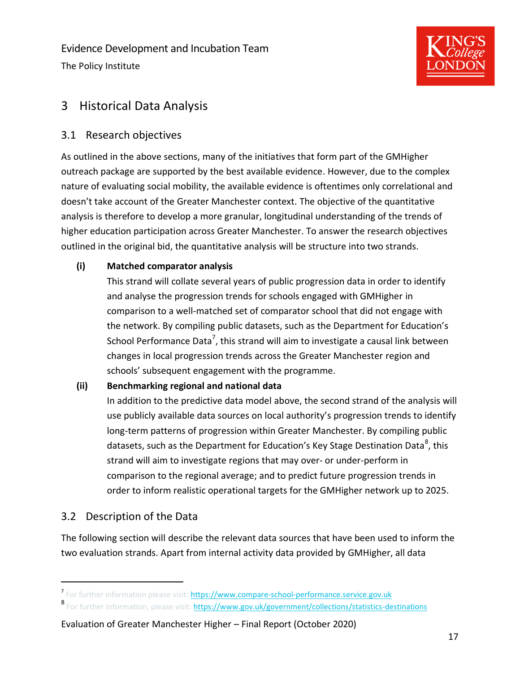Evidence Development and Incubation Team The Policy Institute



# <span id="page-18-0"></span>3 Historical Data Analysis

### <span id="page-18-1"></span>3.1 Research objectives

As outlined in the above sections, many of the initiatives that form part of the GMHigher outreach package are supported by the best available evidence. However, due to the complex nature of evaluating social mobility, the available evidence is oftentimes only correlational and doesn't take account of the Greater Manchester context. The objective of the quantitative analysis is therefore to develop a more granular, longitudinal understanding of the trends of higher education participation across Greater Manchester. To answer the research objectives outlined in the original bid, the quantitative analysis will be structure into two strands.

#### **(i) Matched comparator analysis**

This strand will collate several years of public progression data in order to identify and analyse the progression trends for schools engaged with GMHigher in comparison to a well-matched set of comparator school that did not engage with the network. By compiling public datasets, such as the Department for Education's School Performance Data<sup>7</sup>, this strand will aim to investigate a causal link between changes in local progression trends across the Greater Manchester region and schools' subsequent engagement with the programme.

#### **(ii) Benchmarking regional and national data**

In addition to the predictive data model above, the second strand of the analysis will use publicly available data sources on local authority's progression trends to identify long-term patterns of progression within Greater Manchester. By compiling public datasets, such as the Department for Education's Key Stage Destination Data<sup>8</sup>, this strand will aim to investigate regions that may over- or under-perform in comparison to the regional average; and to predict future progression trends in order to inform realistic operational targets for the GMHigher network up to 2025.

# <span id="page-18-2"></span>3.2 Description of the Data

The following section will describe the relevant data sources that have been used to inform the two evaluation strands. Apart from internal activity data provided by GMHigher, all data

<sup>7</sup> For further information please visit[: https://www.compare-school-performance.service.gov.uk](https://www.compare-school-performance.service.gov.uk/download-data)

<sup>8&</sup>lt;br>For further information, please visit: **https://www.gov.uk/government/collections/statistics-destinations**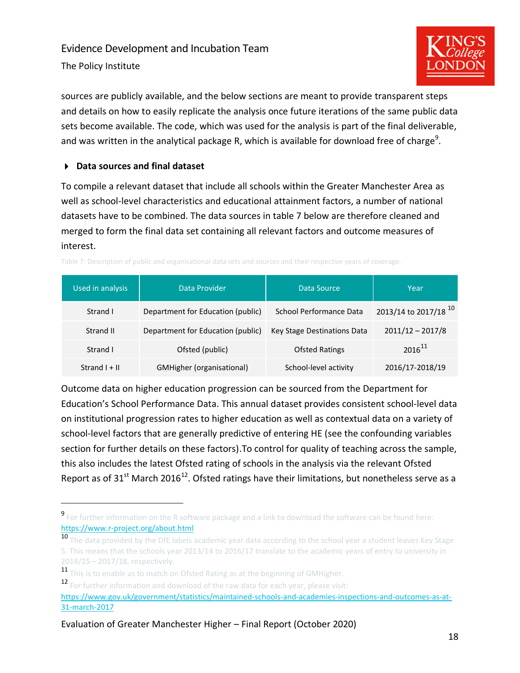The Policy Institute



sources are publicly available, and the below sections are meant to provide transparent steps and details on how to easily replicate the analysis once future iterations of the same public data sets become available. The code, which was used for the analysis is part of the final deliverable, and was written in the analytical package R, which is available for download free of charge<sup>9</sup>.

#### **Data sources and final dataset**

To compile a relevant dataset that include all schools within the Greater Manchester Area as well as school-level characteristics and educational attainment factors, a number of national datasets have to be combined. The data sources in table 7 below are therefore cleaned and merged to form the final data set containing all relevant factors and outcome measures of interest.

| Used in analysis | Data Provider<br>Data Source      |                             | Year                             |
|------------------|-----------------------------------|-----------------------------|----------------------------------|
| Strand I         | Department for Education (public) | School Performance Data     | 2013/14 to 2017/18 <sup>10</sup> |
| Strand II        | Department for Education (public) | Key Stage Destinations Data | $2011/12 - 2017/8$               |
| Strand L         | Ofsted (public)                   | <b>Ofsted Ratings</b>       | $2016^{11}$                      |
| Strand $I + II$  | <b>GMHigher (organisational)</b>  | School-level activity       | 2016/17-2018/19                  |

Table 7: Description of public and organisational data sets and sources and their respective years of coverage.

Outcome data on higher education progression can be sourced from the Department for Education's School Performance Data. This annual dataset provides consistent school-level data on institutional progression rates to higher education as well as contextual data on a variety of school-level factors that are generally predictive of entering HE (see the confounding variables section for further details on these factors).To control for quality of teaching across the sample, this also includes the latest Ofsted rating of schools in the analysis via the relevant Ofsted Report as of 31<sup>st</sup> March 2016<sup>12</sup>. Ofsted ratings have their limitations, but nonetheless serve as a

- 10 The data provided by the DfE labels academic year data according to the school year a student leaves Key Stage 5. This means that the schools year 2013/14 to 2016/17 translate to the academic years of entry to university in 2014/15 – 2017/18, respectively.
- 11 This is to enable us to match on Ofsted Rating as at the beginning of GMHigher.
- 12 For further information and download of the raw data for each year, please visit:

**<sup>9</sup>** For further information on the R software package and a link to download the software can be found here: <https://www.r-project.org/about.html>

[https://www.gov.uk/government/statistics/maintained-schools-and-academies-inspections-and-outcomes-as-at-](https://www.gov.uk/government/statistics/maintained-schools-and-academies-inspections-and-outcomes-as-at-31-march-2017)[31-march-2017](https://www.gov.uk/government/statistics/maintained-schools-and-academies-inspections-and-outcomes-as-at-31-march-2017)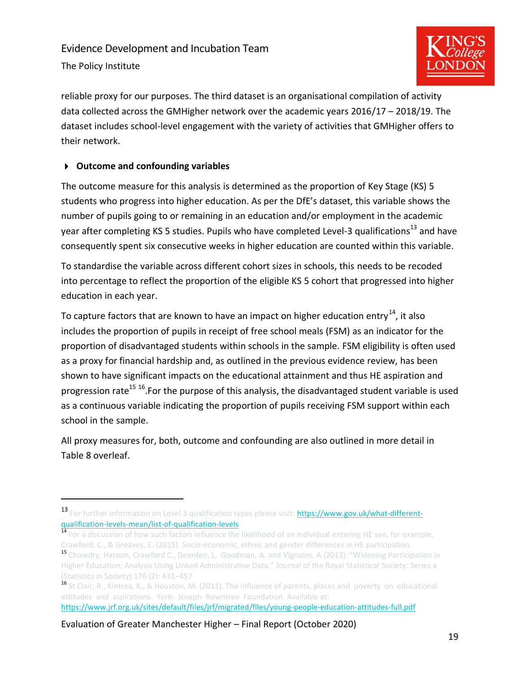The Policy Institute



reliable proxy for our purposes. The third dataset is an organisational compilation of activity data collected across the GMHigher network over the academic years 2016/17 – 2018/19. The dataset includes school-level engagement with the variety of activities that GMHigher offers to their network.

#### **Outcome and confounding variables**

The outcome measure for this analysis is determined as the proportion of Key Stage (KS) 5 students who progress into higher education. As per the DfE's dataset, this variable shows the number of pupils going to or remaining in an education and/or employment in the academic year after completing KS 5 studies. Pupils who have completed Level-3 qualifications<sup>13</sup> and have consequently spent six consecutive weeks in higher education are counted within this variable.

To standardise the variable across different cohort sizes in schools, this needs to be recoded into percentage to reflect the proportion of the eligible KS 5 cohort that progressed into higher education in each year.

To capture factors that are known to have an impact on higher education entry $^{14}$ , it also includes the proportion of pupils in receipt of free school meals (FSM) as an indicator for the proportion of disadvantaged students within schools in the sample. FSM eligibility is often used as a proxy for financial hardship and, as outlined in the previous evidence review, has been shown to have significant impacts on the educational attainment and thus HE aspiration and progression rate<sup>15 16</sup>.For the purpose of this analysis, the disadvantaged student variable is used as a continuous variable indicating the proportion of pupils receiving FSM support within each school in the sample.

All proxy measures for, both, outcome and confounding are also outlined in more detail in [Table 8](#page-21-1) overleaf.

<sup>13</sup> For further information on Level 3 qualification types please visit: [https://www.gov.uk/what-different](https://www.gov.uk/what-different-qualification-levels-mean/list-of-qualification-levels)[qualification-levels-mean/list-of-qualification-levels](https://www.gov.uk/what-different-qualification-levels-mean/list-of-qualification-levels)

<sup>&</sup>lt;sup>14</sup> For a discussion of how such factors influence the likelihood of an individual entering HE see, for example, Crawford, C., & Greaves, E. (2015). Socio-economic, ethnic and gender differences in HE participation.

<sup>15</sup> Chowdry, Haroon, Crawford C., Dearden, L. Goodman, A. and Vignoles, A.(2013). "Widening Participation in Higher Education: Analysis Using Linked Administrative Data." Journal of the Royal Statistical Society: Series a (Statistics in Society) 176 (2): 431–457

<sup>&</sup>lt;sup>16</sup> St Clair, R., Kintrea, K., & Houston, M. (2011). The influence of parents, places and poverty on educational [attitudes and aspirations. York: Joseph Rowntree Foundation.](https://www.jrf.org.uk/sites/default/files/jrf/migrated/files/young-people-education-attitudes-full.pdf) Available at: <https://www.jrf.org.uk/sites/default/files/jrf/migrated/files/young-people-education-attitudes-full.pdf>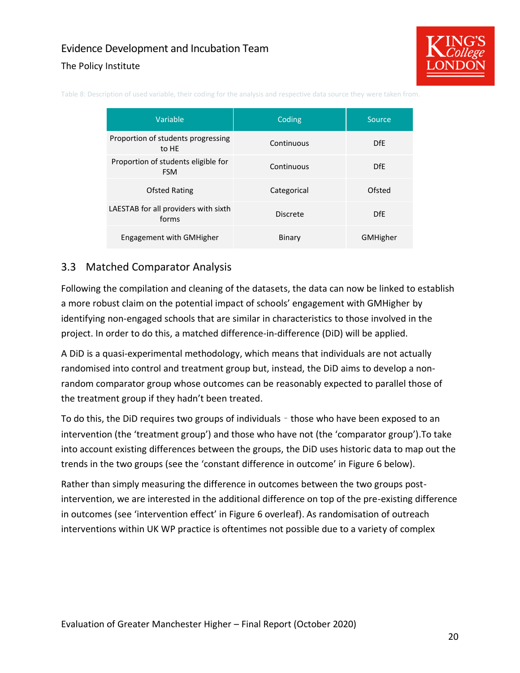#### The Policy Institute



| Variable                                          | Coding          | Source          |
|---------------------------------------------------|-----------------|-----------------|
| Proportion of students progressing<br>to HE       | Continuous      | D <sub>fE</sub> |
| Proportion of students eligible for<br><b>FSM</b> | Continuous      | D <sub>fE</sub> |
| <b>Ofsted Rating</b>                              | Categorical     | Ofsted          |
| LAESTAB for all providers with sixth<br>forms     | <b>Discrete</b> | <b>DfE</b>      |
| Engagement with GMHigher                          | Binary          | <b>GMHigher</b> |

<span id="page-21-1"></span>Table 8: Description of used variable, their coding for the analysis and respective data source they were taken from.

#### <span id="page-21-0"></span>3.3 Matched Comparator Analysis

Following the compilation and cleaning of the datasets, the data can now be linked to establish a more robust claim on the potential impact of schools' engagement with GMHigher by identifying non-engaged schools that are similar in characteristics to those involved in the project. In order to do this, a matched difference-in-difference (DiD) will be applied.

A DiD is a quasi-experimental methodology, which means that individuals are not actually randomised into control and treatment group but, instead, the DiD aims to develop a nonrandom comparator group whose outcomes can be reasonably expected to parallel those of the treatment group if they hadn't been treated.

To do this, the DiD requires two groups of individuals – those who have been exposed to an intervention (the 'treatment group') and those who have not (the 'comparator group').To take into account existing differences between the groups, the DiD uses historic data to map out the trends in the two groups (see the 'constant difference in outcome' in [Figure 6](#page-22-0) below).

Rather than simply measuring the difference in outcomes between the two groups postintervention, we are interested in the additional difference on top of the pre-existing difference in outcomes (see 'intervention effect' i[n Figure 6](#page-22-0) overleaf). As randomisation of outreach interventions within UK WP practice is oftentimes not possible due to a variety of complex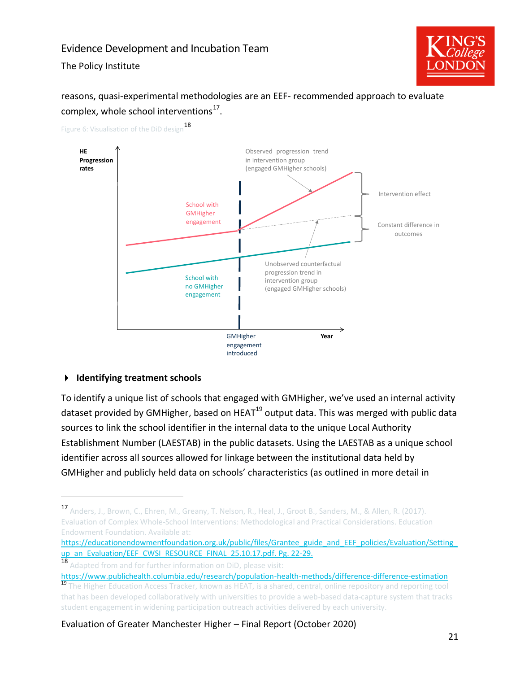The Policy Institute



# reasons, quasi-experimental methodologies are an EEF- recommended approach to evaluate complex, whole school interventions $^{17}$ .



<span id="page-22-0"></span>Figure 6: Visualisation of the DiD design<sup>18</sup>

#### **Identifying treatment schools**

To identify a unique list of schools that engaged with GMHigher, we've used an internal activity dataset provided by GMHigher, based on HEAT $^{19}$  output data. This was merged with public data sources to link the school identifier in the internal data to the unique Local Authority Establishment Number (LAESTAB) in the public datasets. Using the LAESTAB as a unique school identifier across all sources allowed for linkage between the institutional data held by GMHigher and publicly held data on schools' characteristics (as outlined in more detail in

<https://www.publichealth.columbia.edu/research/population-health-methods/difference-difference-estimation>

<sup>17</sup> Anders, J., Brown, C., Ehren, M., Greany, T. Nelson, R., Heal, J., Groot B., Sanders, M., & Allen, R. (2017). Evaluation of Complex Whole-School Interventions: Methodological and Practical Considerations. Education Endowment Foundation. Available at:

https://educationendowmentfoundation.org.uk/public/files/Grantee\_guide\_and\_EEF\_policies/Evaluation/Setting [up\\_an\\_Evaluation/EEF\\_CWSI\\_RESOURCE\\_FINAL\\_25.10.17.pdf. Pg. 22-29.](https://educationendowmentfoundation.org.uk/public/files/Grantee_guide_and_EEF_policies/Evaluation/Setting_up_an_Evaluation/EEF_CWSI_RESOURCE_FINAL_25.10.17.pdf.%20Pg.%2022-29)

<sup>18</sup> Adapted from and for further information on DiD, please visit:

<sup>&</sup>lt;sup>19</sup> The Higher Education Access Tracker, known as HEAT, is a shared, central, online repository and reporting tool that has been developed collaboratively with universities to provide a web-based data-capture system that tracks student engagement in widening participation outreach activities delivered by each university.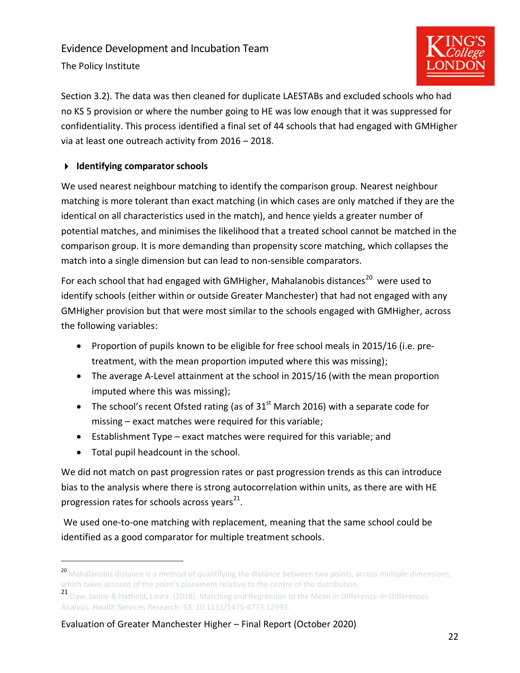The Policy Institute



Section [3.2\)](#page-18-2). The data was then cleaned for duplicate LAESTABs and excluded schools who had no KS 5 provision or where the number going to HE was low enough that it was suppressed for confidentiality. This process identified a final set of 44 schools that had engaged with GMHigher via at least one outreach activity from 2016 – 2018.

#### **Identifying comparator schools**

We used nearest neighbour matching to identify the comparison group. Nearest neighbour matching is more tolerant than exact matching (in which cases are only matched if they are the identical on all characteristics used in the match), and hence yields a greater number of potential matches, and minimises the likelihood that a treated school cannot be matched in the comparison group. It is more demanding than propensity score matching, which collapses the match into a single dimension but can lead to non-sensible comparators.

For each school that had engaged with GMHigher, Mahalanobis distances<sup>20</sup> were used to identify schools (either within or outside Greater Manchester) that had not engaged with any GMHigher provision but that were most similar to the schools engaged with GMHigher, across the following variables:

- Proportion of pupils known to be eligible for free school meals in 2015/16 (i.e. pretreatment, with the mean proportion imputed where this was missing);
- The average A-Level attainment at the school in 2015/16 (with the mean proportion imputed where this was missing);
- The school's recent Ofsted rating (as of  $31<sup>st</sup>$  March 2016) with a separate code for missing – exact matches were required for this variable;
- Establishment Type exact matches were required for this variable; and
- Total pupil headcount in the school.

We did not match on past progression rates or past progression trends as this can introduce bias to the analysis where there is strong autocorrelation within units, as there are with HE progression rates for schools across years<sup>21</sup>.

We used one-to-one matching with replacement, meaning that the same school could be identified as a good comparator for multiple treatment schools.

<sup>&</sup>lt;sup>20</sup> Mahalanobis distance is a method of quantifying the distance between two points, across multiple dimensions, which takes account of the point's placement relative to the centre of the distribution.

<sup>21</sup> Daw, Jamie & Hatfield, Laura. (2018). Matching and Regression to the Mean in Difference-in-Differences Analysis. Health Services Research. 53. 10.1111/1475-6773.12993.

Evaluation of Greater Manchester Higher – Final Report (October 2020)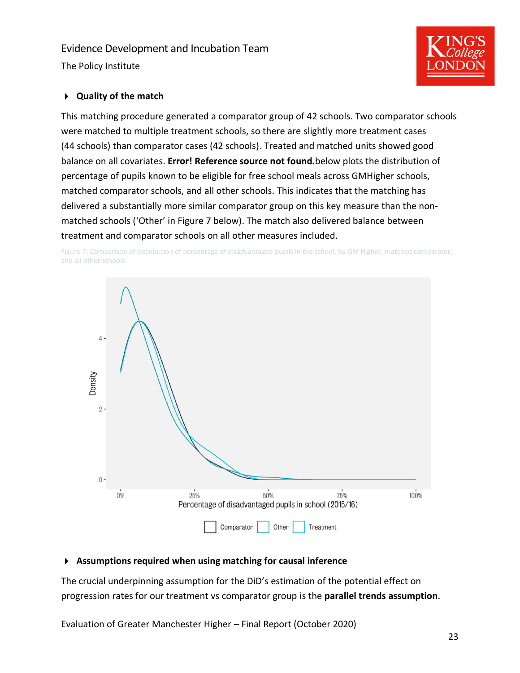The Policy Institute

#### **Quality of the match**

This matching procedure generated a comparator group of 42 schools. Two comparator schools were matched to multiple treatment schools, so there are slightly more treatment cases (44 schools) than comparator cases (42 schools). Treated and matched units showed good balance on all covariates. **Error! Reference source not found.**below plots the distribution of percentage of pupils known to be eligible for free school meals across GMHigher schools, matched comparator schools, and all other schools. This indicates that the matching has delivered a substantially more similar comparator group on this key measure than the nonmatched schools ('Other' in [Figure 7](#page-24-0) below). The match also delivered balance between treatment and comparator schools on all other measures included.

<span id="page-24-0"></span>Figure 7: Comparison of distribution of percentage of disadvantaged pupils in the school, by GM Higher, matched comparator, and all other schools



#### **Assumptions required when using matching for causal inference**

The crucial underpinning assumption for the DiD's estimation of the potential effect on progression rates for our treatment vs comparator group is the **parallel trends assumption**.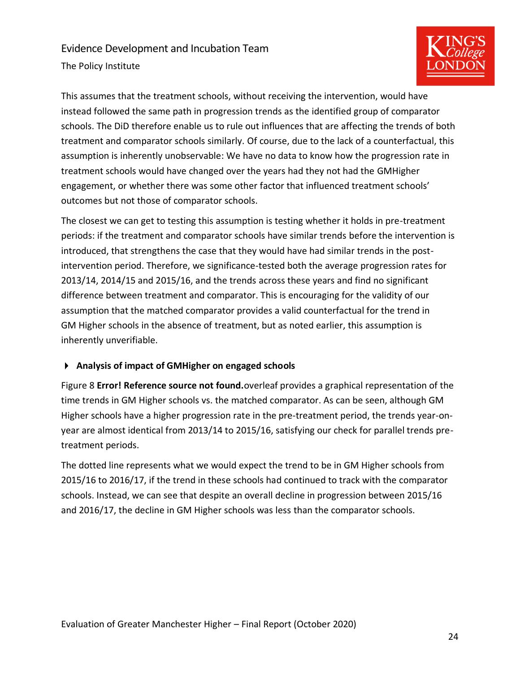The Policy Institute



This assumes that the treatment schools, without receiving the intervention, would have instead followed the same path in progression trends as the identified group of comparator schools. The DiD therefore enable us to rule out influences that are affecting the trends of both treatment and comparator schools similarly. Of course, due to the lack of a counterfactual, this assumption is inherently unobservable: We have no data to know how the progression rate in treatment schools would have changed over the years had they not had the GMHigher engagement, or whether there was some other factor that influenced treatment schools' outcomes but not those of comparator schools.

The closest we can get to testing this assumption is testing whether it holds in pre-treatment periods: if the treatment and comparator schools have similar trends before the intervention is introduced, that strengthens the case that they would have had similar trends in the postintervention period. Therefore, we significance-tested both the average progression rates for 2013/14, 2014/15 and 2015/16, and the trends across these years and find no significant difference between treatment and comparator. This is encouraging for the validity of our assumption that the matched comparator provides a valid counterfactual for the trend in GM Higher schools in the absence of treatment, but as noted earlier, this assumption is inherently unverifiable.

#### **Analysis of impact of GMHigher on engaged schools**

[Figure 8](#page-26-0) **Error! Reference source not found.**overleaf provides a graphical representation of the time trends in GM Higher schools vs. the matched comparator. As can be seen, although GM Higher schools have a higher progression rate in the pre-treatment period, the trends year-onyear are almost identical from 2013/14 to 2015/16, satisfying our check for parallel trends pretreatment periods.

The dotted line represents what we would expect the trend to be in GM Higher schools from 2015/16 to 2016/17, if the trend in these schools had continued to track with the comparator schools. Instead, we can see that despite an overall decline in progression between 2015/16 and 2016/17, the decline in GM Higher schools was less than the comparator schools.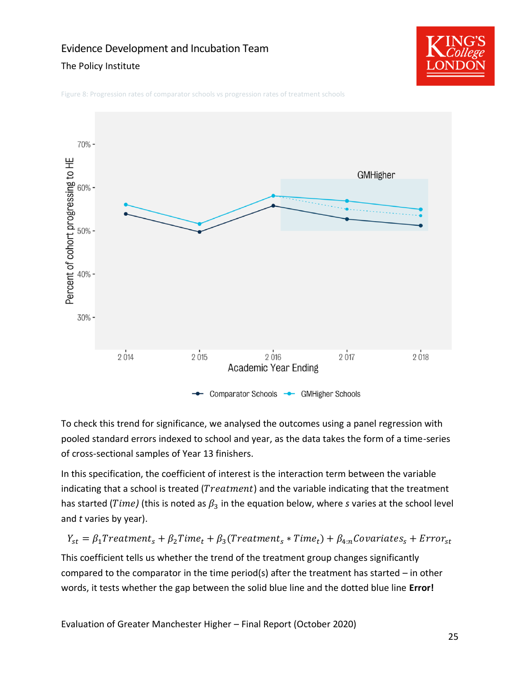#### The Policy Institute



<span id="page-26-0"></span>Figure 8: Progression rates of comparator schools vs progression rates of treatment schools



To check this trend for significance, we analysed the outcomes using a panel regression with pooled standard errors indexed to school and year, as the data takes the form of a time-series of cross-sectional samples of Year 13 finishers.

In this specification, the coefficient of interest is the interaction term between the variable indicating that a school is treated ( $Treatment$ ) and the variable indicating that the treatment has started ( $Time$ ) (this is noted as  $\beta_3$  in the equation below, where *s* varies at the school level and *t* varies by year).

 $Y_{st} = \beta_1 Treatment_s + \beta_2 Time_t + \beta_3 (Treatment_s * Time_t) + \beta_{4:n} Covariates_s + Error_{st}$ 

This coefficient tells us whether the trend of the treatment group changes significantly compared to the comparator in the time period(s) after the treatment has started – in other words, it tests whether the gap between the solid blue line and the dotted blue line **Error!**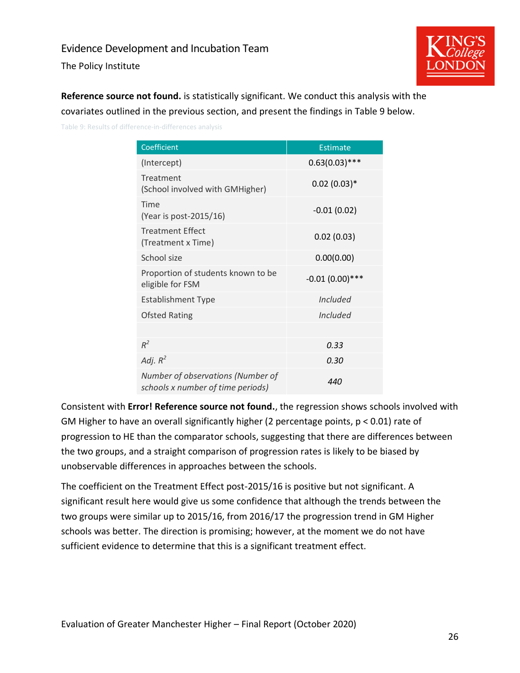The Policy Institute



**Reference source not found.** is statistically significant. We conduct this analysis with the covariates outlined in the previous section, and present the findings i[n Table 9](#page-27-0) below.

<span id="page-27-0"></span>Table 9: Results of difference-in-differences analysis

| Coefficient                                                            | <b>Estimate</b>   |
|------------------------------------------------------------------------|-------------------|
| (Intercept)                                                            | $0.63(0.03)$ ***  |
| Treatment<br>(School involved with GMHigher)                           | $0.02(0.03)*$     |
| Time<br>(Year is post-2015/16)                                         | $-0.01(0.02)$     |
| <b>Treatment Effect</b><br>(Treatment x Time)                          | 0.02(0.03)        |
| School size                                                            | 0.00(0.00)        |
| Proportion of students known to be<br>eligible for FSM                 | $-0.01(0.00)$ *** |
| <b>Establishment Type</b>                                              | Included          |
| <b>Ofsted Rating</b>                                                   | <i>Included</i>   |
|                                                                        |                   |
| $R^2$                                                                  | 0.33              |
| Adj. $R^2$                                                             | 0.30              |
| Number of observations (Number of<br>schools x number of time periods) | 440               |

Consistent with **Error! Reference source not found.**, the regression shows schools involved with GM Higher to have an overall significantly higher (2 percentage points, p < 0.01) rate of progression to HE than the comparator schools, suggesting that there are differences between the two groups, and a straight comparison of progression rates is likely to be biased by unobservable differences in approaches between the schools.

The coefficient on the Treatment Effect post-2015/16 is positive but not significant. A significant result here would give us some confidence that although the trends between the two groups were similar up to 2015/16, from 2016/17 the progression trend in GM Higher schools was better. The direction is promising; however, at the moment we do not have sufficient evidence to determine that this is a significant treatment effect.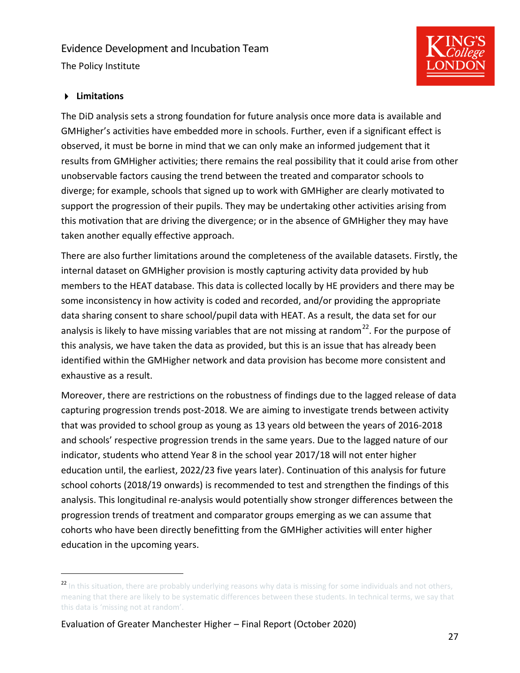The Policy Institute



#### **Limitations**

The DiD analysis sets a strong foundation for future analysis once more data is available and GMHigher's activities have embedded more in schools. Further, even if a significant effect is observed, it must be borne in mind that we can only make an informed judgement that it results from GMHigher activities; there remains the real possibility that it could arise from other unobservable factors causing the trend between the treated and comparator schools to diverge; for example, schools that signed up to work with GMHigher are clearly motivated to support the progression of their pupils. They may be undertaking other activities arising from this motivation that are driving the divergence; or in the absence of GMHigher they may have taken another equally effective approach.

There are also further limitations around the completeness of the available datasets. Firstly, the internal dataset on GMHigher provision is mostly capturing activity data provided by hub members to the HEAT database. This data is collected locally by HE providers and there may be some inconsistency in how activity is coded and recorded, and/or providing the appropriate data sharing consent to share school/pupil data with HEAT. As a result, the data set for our analysis is likely to have missing variables that are not missing at random<sup>22</sup>. For the purpose of this analysis, we have taken the data as provided, but this is an issue that has already been identified within the GMHigher network and data provision has become more consistent and exhaustive as a result.

Moreover, there are restrictions on the robustness of findings due to the lagged release of data capturing progression trends post-2018. We are aiming to investigate trends between activity that was provided to school group as young as 13 years old between the years of 2016-2018 and schools' respective progression trends in the same years. Due to the lagged nature of our indicator, students who attend Year 8 in the school year 2017/18 will not enter higher education until, the earliest, 2022/23 five years later). Continuation of this analysis for future school cohorts (2018/19 onwards) is recommended to test and strengthen the findings of this analysis. This longitudinal re-analysis would potentially show stronger differences between the progression trends of treatment and comparator groups emerging as we can assume that cohorts who have been directly benefitting from the GMHigher activities will enter higher education in the upcoming years.

<sup>&</sup>lt;sup>22</sup> In this situation, there are probably underlying reasons why data is missing for some individuals and not others, meaning that there are likely to be systematic differences between these students. In technical terms, we say that this data is 'missing not at random'.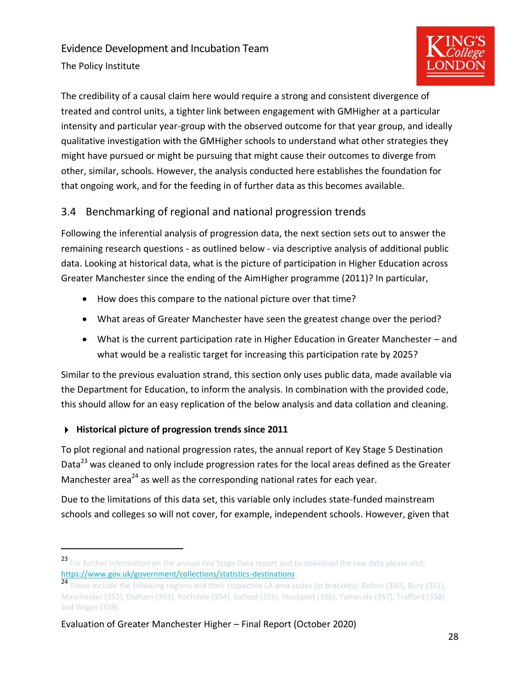The Policy Institute



The credibility of a causal claim here would require a strong and consistent divergence of treated and control units, a tighter link between engagement with GMHigher at a particular intensity and particular year-group with the observed outcome for that year group, and ideally qualitative investigation with the GMHigher schools to understand what other strategies they might have pursued or might be pursuing that might cause their outcomes to diverge from other, similar, schools. However, the analysis conducted here establishes the foundation for that ongoing work, and for the feeding in of further data as this becomes available.

# <span id="page-29-0"></span>3.4 Benchmarking of regional and national progression trends

Following the inferential analysis of progression data, the next section sets out to answer the remaining research questions - as outlined below - via descriptive analysis of additional public data. Looking at historical data, what is the picture of participation in Higher Education across Greater Manchester since the ending of the AimHigher programme (2011)? In particular,

- How does this compare to the national picture over that time?
- What areas of Greater Manchester have seen the greatest change over the period?
- What is the current participation rate in Higher Education in Greater Manchester and what would be a realistic target for increasing this participation rate by 2025?

Similar to the previous evaluation strand, this section only uses public data, made available via the Department for Education, to inform the analysis. In combination with the provided code, this should allow for an easy replication of the below analysis and data collation and cleaning.

#### **Historical picture of progression trends since 2011**

To plot regional and national progression rates, the annual report of Key Stage 5 Destination Data<sup>23</sup> was cleaned to only include progression rates for the local areas defined as the Greater Manchester area<sup>24</sup> as well as the corresponding national rates for each year.

Due to the limitations of this data set, this variable only includes state-funded mainstream schools and colleges so will not cover, for example, independent schools. However, given that

<sup>23</sup> For further information on the annual Key Stage Data report and to download the raw data please visit: <https://www.gov.uk/government/collections/statistics-destinations>

<sup>24</sup> These include the following regions and their respective LA area codes (in brackets): Bolton (350), Bury (351), Manchester (352), Oldham (353), Rochdale (354), Salford (355), Stockport (356), Tameside (357), Trafford (358) and Wigan (359).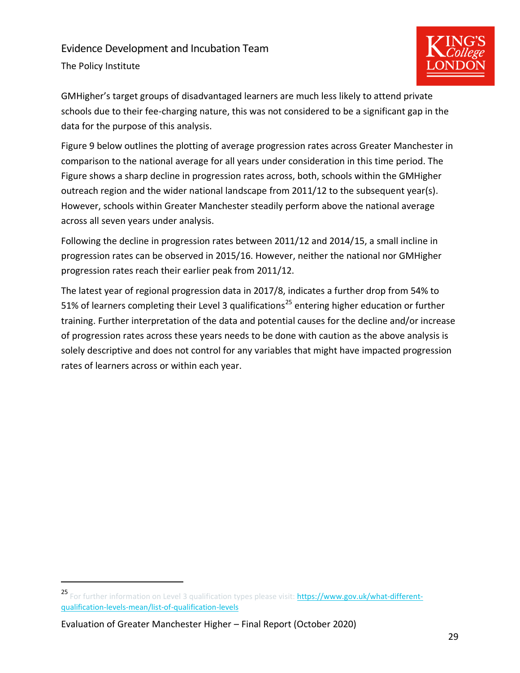# Evidence Development and Incubation Team The Policy Institute



GMHigher's target groups of disadvantaged learners are much less likely to attend private schools due to their fee-charging nature, this was not considered to be a significant gap in the data for the purpose of this analysis.

[Figure 9](#page-31-0) below outlines the plotting of average progression rates across Greater Manchester in comparison to the national average for all years under consideration in this time period. The Figure shows a sharp decline in progression rates across, both, schools within the GMHigher outreach region and the wider national landscape from 2011/12 to the subsequent year(s). However, schools within Greater Manchester steadily perform above the national average across all seven years under analysis.

Following the decline in progression rates between 2011/12 and 2014/15, a small incline in progression rates can be observed in 2015/16. However, neither the national nor GMHigher progression rates reach their earlier peak from 2011/12.

The latest year of regional progression data in 2017/8, indicates a further drop from 54% to 51% of learners completing their Level 3 qualifications<sup>25</sup> entering higher education or further training. Further interpretation of the data and potential causes for the decline and/or increase of progression rates across these years needs to be done with caution as the above analysis is solely descriptive and does not control for any variables that might have impacted progression rates of learners across or within each year.

<sup>25</sup> For further information on Level 3 qualification types please visit: [https://www.gov.uk/what-different](https://www.gov.uk/what-different-qualification-levels-mean/list-of-qualification-levels)[qualification-levels-mean/list-of-qualification-levels](https://www.gov.uk/what-different-qualification-levels-mean/list-of-qualification-levels)

Evaluation of Greater Manchester Higher – Final Report (October 2020)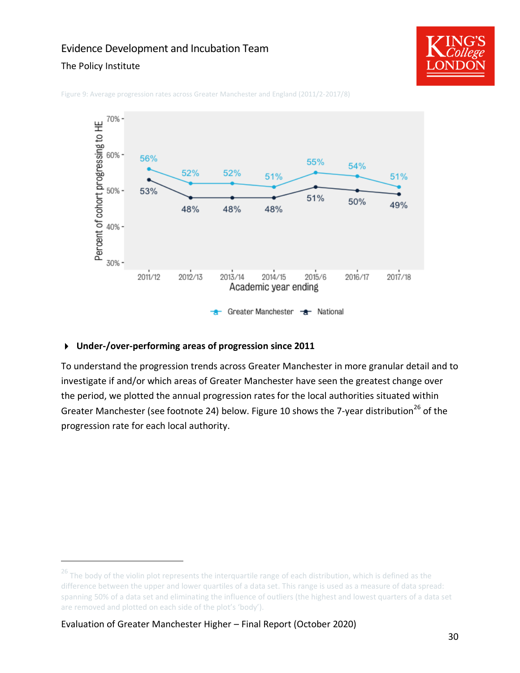#### The Policy Institute





<span id="page-31-0"></span>Figure 9: Average progression rates across Greater Manchester and England (2011/2-2017/8)

#### **Under-/over-performing areas of progression since 2011**

To understand the progression trends across Greater Manchester in more granular detail and to investigate if and/or which areas of Greater Manchester have seen the greatest change over the period, we plotted the annual progression rates for the local authorities situated within Greater Manchester (see footnote 24) below. [Figure 10](#page-32-0) shows the 7-year distribution<sup>26</sup> of the progression rate for each local authority.

 $26$  The body of the violin plot represents the interquartile range of each distribution, which is defined as the difference between the upper and lower quartiles of a data set. This range is used as a measure of data spread: spanning 50% of a data set and eliminating the influence of outliers (the highest and lowest quarters of a data set are removed and plotted on each side of the plot's 'body').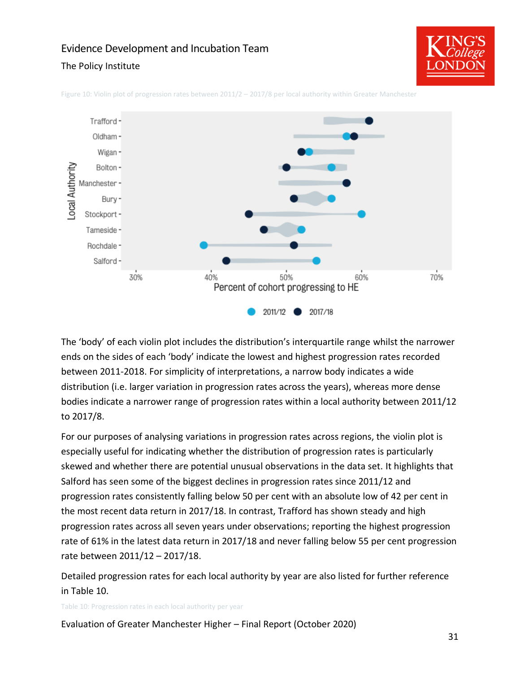#### The Policy Institute





<span id="page-32-0"></span>Figure 10: Violin plot of progression rates between 2011/2 – 2017/8 per local authority within Greater Manchester

The 'body' of each violin plot includes the distribution's interquartile range whilst the narrower ends on the sides of each 'body' indicate the lowest and highest progression rates recorded between 2011-2018. For simplicity of interpretations, a narrow body indicates a wide distribution (i.e. larger variation in progression rates across the years), whereas more dense bodies indicate a narrower range of progression rates within a local authority between 2011/12 to 2017/8.

For our purposes of analysing variations in progression rates across regions, the violin plot is especially useful for indicating whether the distribution of progression rates is particularly skewed and whether there are potential unusual observations in the data set. It highlights that Salford has seen some of the biggest declines in progression rates since 2011/12 and progression rates consistently falling below 50 per cent with an absolute low of 42 per cent in the most recent data return in 2017/18. In contrast, Trafford has shown steady and high progression rates across all seven years under observations; reporting the highest progression rate of 61% in the latest data return in 2017/18 and never falling below 55 per cent progression rate between 2011/12 – 2017/18.

Detailed progression rates for each local authority by year are also listed for further reference in [Table 10.](#page-32-1)

<span id="page-32-1"></span>Table 10: Progression rates in each local authority per year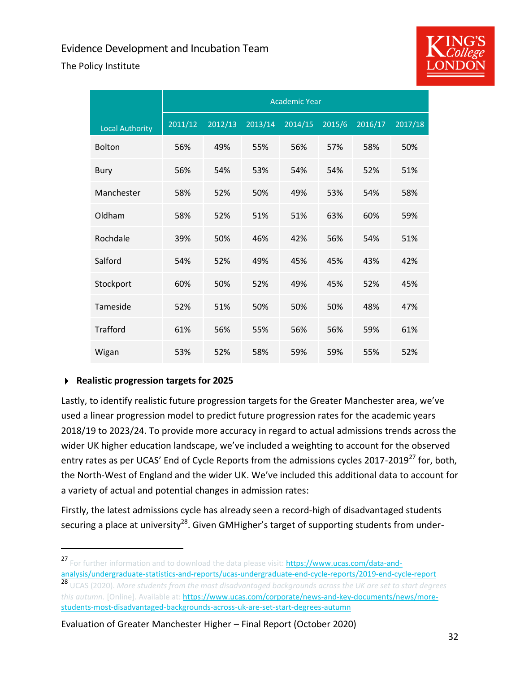The Policy Institute



|                        |         |         |         | <b>Academic Year</b> |        |         |         |
|------------------------|---------|---------|---------|----------------------|--------|---------|---------|
| <b>Local Authority</b> | 2011/12 | 2012/13 | 2013/14 | 2014/15              | 2015/6 | 2016/17 | 2017/18 |
| <b>Bolton</b>          | 56%     | 49%     | 55%     | 56%                  | 57%    | 58%     | 50%     |
| <b>Bury</b>            | 56%     | 54%     | 53%     | 54%                  | 54%    | 52%     | 51%     |
| Manchester             | 58%     | 52%     | 50%     | 49%                  | 53%    | 54%     | 58%     |
| Oldham                 | 58%     | 52%     | 51%     | 51%                  | 63%    | 60%     | 59%     |
| Rochdale               | 39%     | 50%     | 46%     | 42%                  | 56%    | 54%     | 51%     |
| Salford                | 54%     | 52%     | 49%     | 45%                  | 45%    | 43%     | 42%     |
| Stockport              | 60%     | 50%     | 52%     | 49%                  | 45%    | 52%     | 45%     |
| Tameside               | 52%     | 51%     | 50%     | 50%                  | 50%    | 48%     | 47%     |
| <b>Trafford</b>        | 61%     | 56%     | 55%     | 56%                  | 56%    | 59%     | 61%     |
| Wigan                  | 53%     | 52%     | 58%     | 59%                  | 59%    | 55%     | 52%     |

#### **Realistic progression targets for 2025**

Lastly, to identify realistic future progression targets for the Greater Manchester area, we've used a linear progression model to predict future progression rates for the academic years 2018/19 to 2023/24. To provide more accuracy in regard to actual admissions trends across the wider UK higher education landscape, we've included a weighting to account for the observed entry rates as per UCAS' End of Cycle Reports from the admissions cycles 2017-2019<sup>27</sup> for, both, the North-West of England and the wider UK. We've included this additional data to account for a variety of actual and potential changes in admission rates:

Firstly, the latest admissions cycle has already seen a record-high of disadvantaged students securing a place at university<sup>28</sup>. Given GMHigher's target of supporting students from under-

[analysis/undergraduate-statistics-and-reports/ucas-undergraduate-end-cycle-reports/2019-end-cycle-report](https://www.ucas.com/data-and-analysis/undergraduate-statistics-and-reports/ucas-undergraduate-end-cycle-reports/2019-end-cycle-report) <sup>28</sup> UCAS (2020). *More students from the most disadvantaged backgrounds across the UK are set to start degrees this autumn.* [Online]. Available at: [https://www.ucas.com/corporate/news-and-key-documents/news/more](https://www.ucas.com/corporate/news-and-key-documents/news/more-students-most-disadvantaged-backgrounds-across-uk-are-set-start-degrees-autumn)[students-most-disadvantaged-backgrounds-across-uk-are-set-start-degrees-autumn](https://www.ucas.com/corporate/news-and-key-documents/news/more-students-most-disadvantaged-backgrounds-across-uk-are-set-start-degrees-autumn)

<sup>&</sup>lt;sup>27</sup> For further information and to download the data please visit: **https://www.ucas.com/data-and-**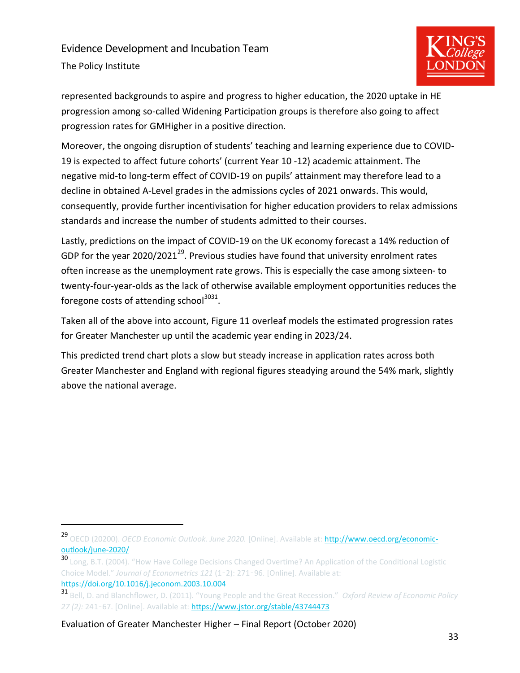# Evidence Development and Incubation Team The Policy Institute



represented backgrounds to aspire and progress to higher education, the 2020 uptake in HE progression among so-called Widening Participation groups is therefore also going to affect progression rates for GMHigher in a positive direction.

Moreover, the ongoing disruption of students' teaching and learning experience due to COVID-19 is expected to affect future cohorts' (current Year 10 -12) academic attainment. The negative mid-to long-term effect of COVID-19 on pupils' attainment may therefore lead to a decline in obtained A-Level grades in the admissions cycles of 2021 onwards. This would, consequently, provide further incentivisation for higher education providers to relax admissions standards and increase the number of students admitted to their courses.

Lastly, predictions on the impact of COVID-19 on the UK economy forecast a 14% reduction of GDP for the year 2020/2021<sup>29</sup>. Previous studies have found that university enrolment rates often increase as the unemployment rate grows. This is especially the case among sixteen- to twenty-four-year-olds as the lack of otherwise available employment opportunities reduces the foregone costs of attending school<sup>3031</sup>.

Taken all of the above into account, [Figure 11](#page-35-0) overleaf models the estimated progression rates for Greater Manchester up until the academic year ending in 2023/24.

This predicted trend chart plots a slow but steady increase in application rates across both Greater Manchester and England with regional figures steadying around the 54% mark, slightly above the national average.

<sup>29</sup> OECD (20200). *OECD Economic Outlook. June 2020*. [Online]. Available at: **http://www.oecd.org/economic**[outlook/june-2020/](http://www.oecd.org/economic-outlook/june-2020/)

<sup>30</sup> Long, B.T. (2004). "How Have College Decisions Changed Overtime? An Application of the Conditional Logistic Choice Model." *Journal of Econometrics 121* (1–2): 271–96. [Online]. Available at: <https://doi.org/10.1016/j.jeconom.2003.10.004>

<sup>31</sup> Bell, D. and Blanchflower, D. (2011). "Young People and the Great Recession." *Oxford Review of Economic Policy 27 (2):* 241–67. [Online]. Available at:<https://www.jstor.org/stable/43744473>

Evaluation of Greater Manchester Higher – Final Report (October 2020)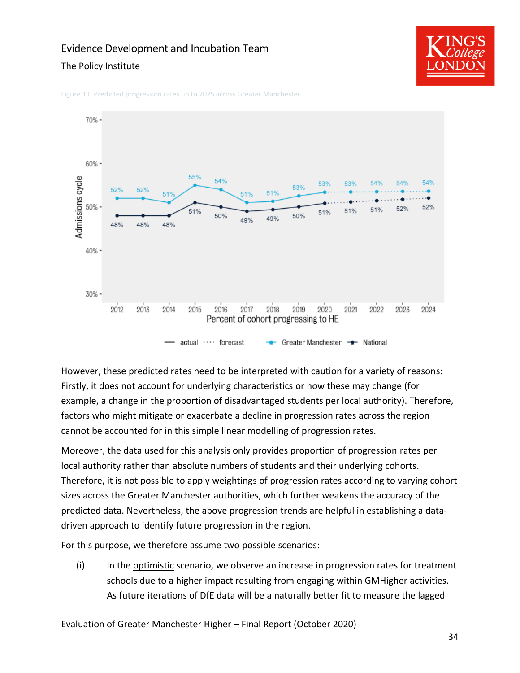#### The Policy Institute



<span id="page-35-0"></span>Figure 11: Predicted progression rates up to 2025 across Greater Manchester



However, these predicted rates need to be interpreted with caution for a variety of reasons: Firstly, it does not account for underlying characteristics or how these may change (for example, a change in the proportion of disadvantaged students per local authority). Therefore, factors who might mitigate or exacerbate a decline in progression rates across the region cannot be accounted for in this simple linear modelling of progression rates.

Moreover, the data used for this analysis only provides proportion of progression rates per local authority rather than absolute numbers of students and their underlying cohorts. Therefore, it is not possible to apply weightings of progression rates according to varying cohort sizes across the Greater Manchester authorities, which further weakens the accuracy of the predicted data. Nevertheless, the above progression trends are helpful in establishing a datadriven approach to identify future progression in the region.

For this purpose, we therefore assume two possible scenarios:

(i) In the optimistic scenario, we observe an increase in progression rates for treatment schools due to a higher impact resulting from engaging within GMHigher activities. As future iterations of DfE data will be a naturally better fit to measure the lagged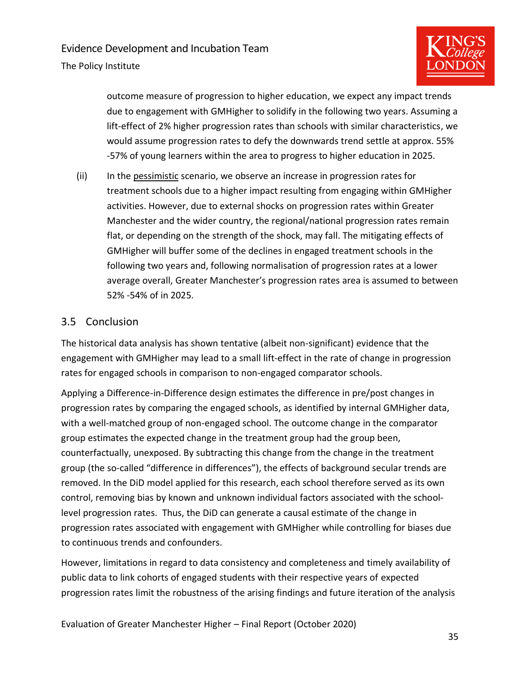

outcome measure of progression to higher education, we expect any impact trends due to engagement with GMHigher to solidify in the following two years. Assuming a lift-effect of 2% higher progression rates than schools with similar characteristics, we would assume progression rates to defy the downwards trend settle at approx. 55% -57% of young learners within the area to progress to higher education in 2025.

(ii) In the pessimistic scenario, we observe an increase in progression rates for treatment schools due to a higher impact resulting from engaging within GMHigher activities. However, due to external shocks on progression rates within Greater Manchester and the wider country, the regional/national progression rates remain flat, or depending on the strength of the shock, may fall. The mitigating effects of GMHigher will buffer some of the declines in engaged treatment schools in the following two years and, following normalisation of progression rates at a lower average overall, Greater Manchester's progression rates area is assumed to between 52% -54% of in 2025.

#### <span id="page-36-0"></span>3.5 Conclusion

The historical data analysis has shown tentative (albeit non-significant) evidence that the engagement with GMHigher may lead to a small lift-effect in the rate of change in progression rates for engaged schools in comparison to non-engaged comparator schools.

Applying a Difference-in-Difference design estimates the difference in pre/post changes in progression rates by comparing the engaged schools, as identified by internal GMHigher data, with a well-matched group of non-engaged school. The outcome change in the comparator group estimates the expected change in the treatment group had the group been, counterfactually, unexposed. By subtracting this change from the change in the treatment group (the so-called "difference in differences"), the effects of background secular trends are removed. In the DiD model applied for this research, each school therefore served as its own control, removing bias by known and unknown individual factors associated with the schoollevel progression rates. Thus, the DiD can generate a causal estimate of the change in progression rates associated with engagement with GMHigher while controlling for biases due to continuous trends and confounders.

However, limitations in regard to data consistency and completeness and timely availability of public data to link cohorts of engaged students with their respective years of expected progression rates limit the robustness of the arising findings and future iteration of the analysis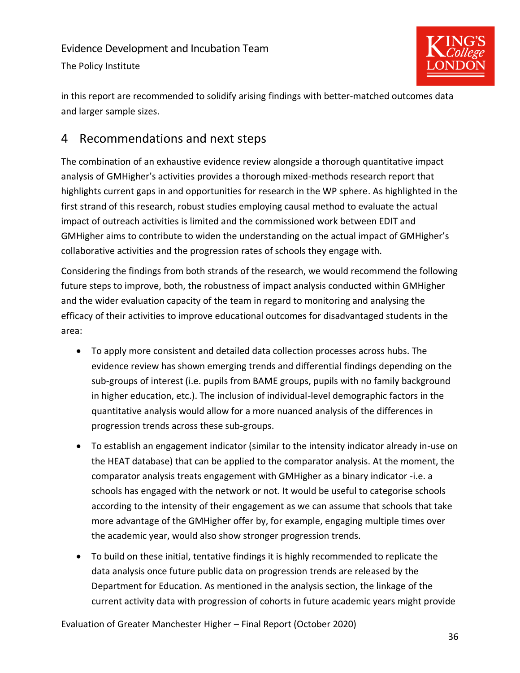

in this report are recommended to solidify arising findings with better-matched outcomes data and larger sample sizes.

# <span id="page-37-0"></span>4 Recommendations and next steps

The combination of an exhaustive evidence review alongside a thorough quantitative impact analysis of GMHigher's activities provides a thorough mixed-methods research report that highlights current gaps in and opportunities for research in the WP sphere. As highlighted in the first strand of this research, robust studies employing causal method to evaluate the actual impact of outreach activities is limited and the commissioned work between EDIT and GMHigher aims to contribute to widen the understanding on the actual impact of GMHigher's collaborative activities and the progression rates of schools they engage with.

Considering the findings from both strands of the research, we would recommend the following future steps to improve, both, the robustness of impact analysis conducted within GMHigher and the wider evaluation capacity of the team in regard to monitoring and analysing the efficacy of their activities to improve educational outcomes for disadvantaged students in the area:

- To apply more consistent and detailed data collection processes across hubs. The evidence review has shown emerging trends and differential findings depending on the sub-groups of interest (i.e. pupils from BAME groups, pupils with no family background in higher education, etc.). The inclusion of individual-level demographic factors in the quantitative analysis would allow for a more nuanced analysis of the differences in progression trends across these sub-groups.
- To establish an engagement indicator (similar to the intensity indicator already in-use on the HEAT database) that can be applied to the comparator analysis. At the moment, the comparator analysis treats engagement with GMHigher as a binary indicator -i.e. a schools has engaged with the network or not. It would be useful to categorise schools according to the intensity of their engagement as we can assume that schools that take more advantage of the GMHigher offer by, for example, engaging multiple times over the academic year, would also show stronger progression trends.
- To build on these initial, tentative findings it is highly recommended to replicate the data analysis once future public data on progression trends are released by the Department for Education. As mentioned in the analysis section, the linkage of the current activity data with progression of cohorts in future academic years might provide